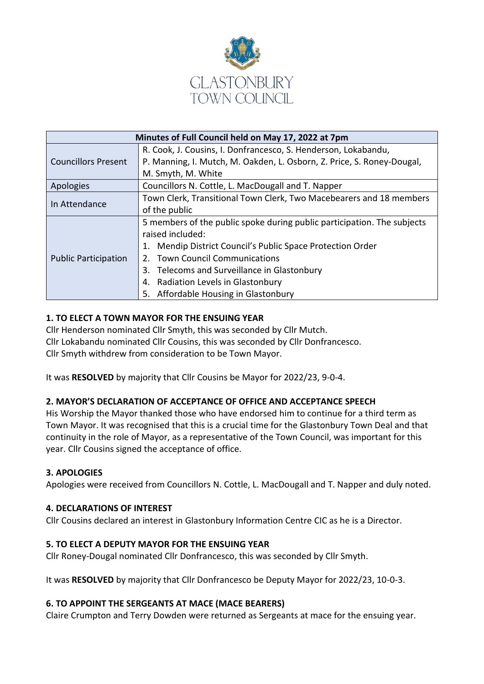

| Minutes of Full Council held on May 17, 2022 at 7pm |                                                                         |  |  |  |
|-----------------------------------------------------|-------------------------------------------------------------------------|--|--|--|
| <b>Councillors Present</b>                          | R. Cook, J. Cousins, I. Donfrancesco, S. Henderson, Lokabandu,          |  |  |  |
|                                                     | P. Manning, I. Mutch, M. Oakden, L. Osborn, Z. Price, S. Roney-Dougal,  |  |  |  |
|                                                     | M. Smyth, M. White                                                      |  |  |  |
| Apologies                                           | Councillors N. Cottle, L. MacDougall and T. Napper                      |  |  |  |
| In Attendance                                       | Town Clerk, Transitional Town Clerk, Two Macebearers and 18 members     |  |  |  |
|                                                     | of the public                                                           |  |  |  |
| <b>Public Participation</b>                         | 5 members of the public spoke during public participation. The subjects |  |  |  |
|                                                     | raised included:                                                        |  |  |  |
|                                                     | Mendip District Council's Public Space Protection Order<br>1.           |  |  |  |
|                                                     | 2. Town Council Communications                                          |  |  |  |
|                                                     | Telecoms and Surveillance in Glastonbury<br>3.                          |  |  |  |
|                                                     | Radiation Levels in Glastonbury<br>4.                                   |  |  |  |
|                                                     | Affordable Housing in Glastonbury<br>5.                                 |  |  |  |

# **1. TO ELECT A TOWN MAYOR FOR THE ENSUING YEAR**

Cllr Henderson nominated Cllr Smyth, this was seconded by Cllr Mutch. Cllr Lokabandu nominated Cllr Cousins, this was seconded by Cllr Donfrancesco. Cllr Smyth withdrew from consideration to be Town Mayor.

It was **RESOLVED** by majority that Cllr Cousins be Mayor for 2022/23, 9-0-4.

## **2. MAYOR'S DECLARATION OF ACCEPTANCE OF OFFICE AND ACCEPTANCE SPEECH**

His Worship the Mayor thanked those who have endorsed him to continue for a third term as Town Mayor. It was recognised that this is a crucial time for the Glastonbury Town Deal and that continuity in the role of Mayor, as a representative of the Town Council, was important for this year. Cllr Cousins signed the acceptance of office.

#### **3. APOLOGIES**

Apologies were received from Councillors N. Cottle, L. MacDougall and T. Napper and duly noted.

#### **4. DECLARATIONS OF INTEREST**

Cllr Cousins declared an interest in Glastonbury Information Centre CIC as he is a Director.

#### **5. TO ELECT A DEPUTY MAYOR FOR THE ENSUING YEAR**

Cllr Roney-Dougal nominated Cllr Donfrancesco, this was seconded by Cllr Smyth.

It was **RESOLVED** by majority that Cllr Donfrancesco be Deputy Mayor for 2022/23, 10-0-3.

## **6. TO APPOINT THE SERGEANTS AT MACE (MACE BEARERS)**

Claire Crumpton and Terry Dowden were returned as Sergeants at mace for the ensuing year.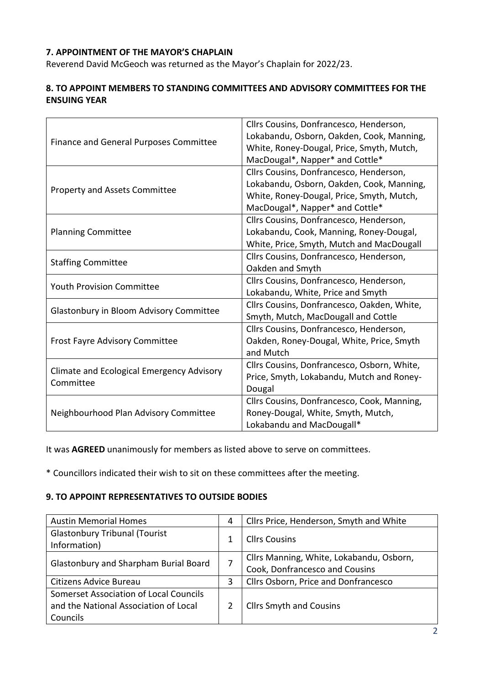# **7. APPOINTMENT OF THE MAYOR'S CHAPLAIN**

Reverend David McGeoch was returned as the Mayor's Chaplain for 2022/23.

## **8. TO APPOINT MEMBERS TO STANDING COMMITTEES AND ADVISORY COMMITTEES FOR THE ENSUING YEAR**

| Finance and General Purposes Committee                 | Cllrs Cousins, Donfrancesco, Henderson,<br>Lokabandu, Osborn, Oakden, Cook, Manning,<br>White, Roney-Dougal, Price, Smyth, Mutch,<br>MacDougal*, Napper* and Cottle* |
|--------------------------------------------------------|----------------------------------------------------------------------------------------------------------------------------------------------------------------------|
| <b>Property and Assets Committee</b>                   | Cllrs Cousins, Donfrancesco, Henderson,<br>Lokabandu, Osborn, Oakden, Cook, Manning,<br>White, Roney-Dougal, Price, Smyth, Mutch,<br>MacDougal*, Napper* and Cottle* |
| <b>Planning Committee</b>                              | Cllrs Cousins, Donfrancesco, Henderson,<br>Lokabandu, Cook, Manning, Roney-Dougal,<br>White, Price, Smyth, Mutch and MacDougall                                      |
| <b>Staffing Committee</b>                              | Cllrs Cousins, Donfrancesco, Henderson,<br>Oakden and Smyth                                                                                                          |
| <b>Youth Provision Committee</b>                       | Cllrs Cousins, Donfrancesco, Henderson,<br>Lokabandu, White, Price and Smyth                                                                                         |
| Glastonbury in Bloom Advisory Committee                | Cllrs Cousins, Donfrancesco, Oakden, White,<br>Smyth, Mutch, MacDougall and Cottle                                                                                   |
| <b>Frost Fayre Advisory Committee</b>                  | Cllrs Cousins, Donfrancesco, Henderson,<br>Oakden, Roney-Dougal, White, Price, Smyth<br>and Mutch                                                                    |
| Climate and Ecological Emergency Advisory<br>Committee | Cllrs Cousins, Donfrancesco, Osborn, White,<br>Price, Smyth, Lokabandu, Mutch and Roney-<br>Dougal                                                                   |
| Neighbourhood Plan Advisory Committee                  | Cllrs Cousins, Donfrancesco, Cook, Manning,<br>Roney-Dougal, White, Smyth, Mutch,<br>Lokabandu and MacDougall*                                                       |

It was **AGREED** unanimously for members as listed above to serve on committees.

\* Councillors indicated their wish to sit on these committees after the meeting.

## **9. TO APPOINT REPRESENTATIVES TO OUTSIDE BODIES**

| <b>Austin Memorial Homes</b>                 |  | Cllrs Price, Henderson, Smyth and White  |
|----------------------------------------------|--|------------------------------------------|
| <b>Glastonbury Tribunal (Tourist</b>         |  | <b>Cllrs Cousins</b>                     |
| Information)                                 |  |                                          |
| <b>Glastonbury and Sharpham Burial Board</b> |  | Cllrs Manning, White, Lokabandu, Osborn, |
|                                              |  | Cook, Donfrancesco and Cousins           |
| Citizens Advice Bureau                       |  | Cllrs Osborn, Price and Donfrancesco     |
| Somerset Association of Local Councils       |  |                                          |
| and the National Association of Local        |  | <b>Cllrs Smyth and Cousins</b>           |
| Councils                                     |  |                                          |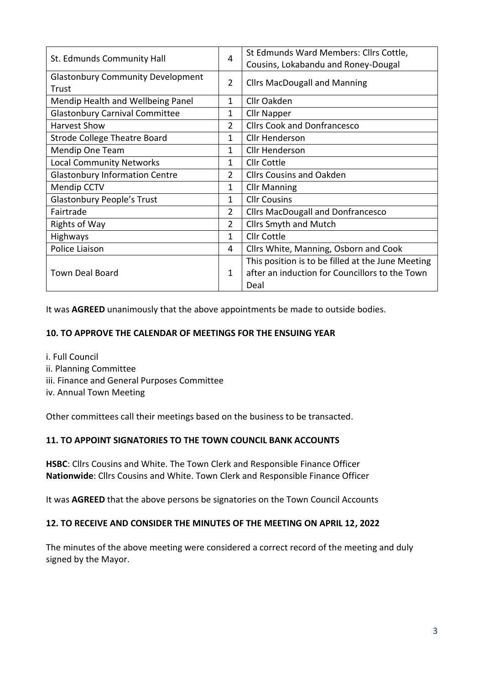| St. Edmunds Community Hall                        |  | St Edmunds Ward Members: Cllrs Cottle,<br>Cousins, Lokabandu and Roney-Dougal |
|---------------------------------------------------|--|-------------------------------------------------------------------------------|
| <b>Glastonbury Community Development</b><br>Trust |  | <b>Cllrs MacDougall and Manning</b>                                           |
| Mendip Health and Wellbeing Panel                 |  | Cllr Oakden                                                                   |
| <b>Glastonbury Carnival Committee</b>             |  | <b>Cllr Napper</b>                                                            |
| <b>Harvest Show</b>                               |  | <b>Cllrs Cook and Donfrancesco</b>                                            |
| <b>Strode College Theatre Board</b>               |  | <b>Cllr Henderson</b>                                                         |
| <b>Mendip One Team</b>                            |  | <b>Cllr Henderson</b>                                                         |
| <b>Local Community Networks</b>                   |  | <b>Cllr Cottle</b>                                                            |
| <b>Glastonbury Information Centre</b>             |  | <b>Cllrs Cousins and Oakden</b>                                               |
| <b>Mendip CCTV</b>                                |  | <b>Cllr Manning</b>                                                           |
| <b>Glastonbury People's Trust</b>                 |  | <b>Cllr Cousins</b>                                                           |
| Fairtrade                                         |  | <b>Cllrs MacDougall and Donfrancesco</b>                                      |
| <b>Rights of Way</b>                              |  | <b>Cllrs Smyth and Mutch</b>                                                  |
| Highways                                          |  | Cllr Cottle                                                                   |
| Police Liaison                                    |  | Cllrs White, Manning, Osborn and Cook                                         |
|                                                   |  | This position is to be filled at the June Meeting                             |
| <b>Town Deal Board</b>                            |  | after an induction for Councillors to the Town                                |
|                                                   |  | Deal                                                                          |

It was **AGREED** unanimously that the above appointments be made to outside bodies.

#### **10. TO APPROVE THE CALENDAR OF MEETINGS FOR THE ENSUING YEAR**

- i. Full Council
- ii. Planning Committee
- iii. Finance and General Purposes Committee
- iv. Annual Town Meeting

Other committees call their meetings based on the business to be transacted.

## **11. TO APPOINT SIGNATORIES TO THE TOWN COUNCIL BANK ACCOUNTS**

**HSBC**: Cllrs Cousins and White. The Town Clerk and Responsible Finance Officer **Nationwide**: Cllrs Cousins and White. Town Clerk and Responsible Finance Officer

It was **AGREED** that the above persons be signatories on the Town Council Accounts

#### **12. TO RECEIVE AND CONSIDER THE MINUTES OF THE MEETING ON APRIL 12, 2022**

The minutes of the above meeting were considered a correct record of the meeting and duly signed by the Mayor.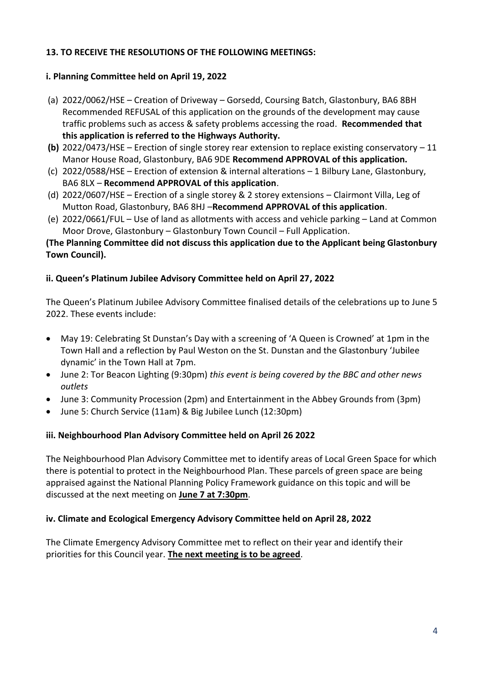## **13. TO RECEIVE THE RESOLUTIONS OF THE FOLLOWING MEETINGS:**

## **i. Planning Committee held on April 19, 2022**

- (a) 2022/0062/HSE Creation of Driveway Gorsedd, Coursing Batch, Glastonbury, BA6 8BH Recommended REFUSAL of this application on the grounds of the development may cause traffic problems such as access & safety problems accessing the road. **Recommended that this application is referred to the Highways Authority.**
- **(b)** 2022/0473/HSE Erection of single storey rear extension to replace existing conservatory 11 Manor House Road, Glastonbury, BA6 9DE **Recommend APPROVAL of this application.**
- (c) 2022/0588/HSE Erection of extension & internal alterations 1 Bilbury Lane, Glastonbury, BA6 8LX – **Recommend APPROVAL of this application**.
- (d) 2022/0607/HSE Erection of a single storey & 2 storey extensions Clairmont Villa, Leg of Mutton Road, Glastonbury, BA6 8HJ –**Recommend APPROVAL of this application**.
- (e) 2022/0661/FUL Use of land as allotments with access and vehicle parking Land at Common Moor Drove, Glastonbury – Glastonbury Town Council – Full Application.

# **(The Planning Committee did not discuss this application due to the Applicant being Glastonbury Town Council).**

# **ii. Queen's Platinum Jubilee Advisory Committee held on April 27, 2022**

The Queen's Platinum Jubilee Advisory Committee finalised details of the celebrations up to June 5 2022. These events include:

- May 19: Celebrating St Dunstan's Day with a screening of 'A Queen is Crowned' at 1pm in the Town Hall and a reflection by Paul Weston on the St. Dunstan and the Glastonbury 'Jubilee dynamic' in the Town Hall at 7pm.
- June 2: Tor Beacon Lighting (9:30pm) *this event is being covered by the BBC and other news outlets*
- June 3: Community Procession (2pm) and Entertainment in the Abbey Grounds from (3pm)
- June 5: Church Service (11am) & Big Jubilee Lunch (12:30pm)

## **iii. Neighbourhood Plan Advisory Committee held on April 26 2022**

The Neighbourhood Plan Advisory Committee met to identify areas of Local Green Space for which there is potential to protect in the Neighbourhood Plan. These parcels of green space are being appraised against the National Planning Policy Framework guidance on this topic and will be discussed at the next meeting on **June 7 at 7:30pm**.

## **iv. Climate and Ecological Emergency Advisory Committee held on April 28, 2022**

The Climate Emergency Advisory Committee met to reflect on their year and identify their priorities for this Council year. **The next meeting is to be agreed**.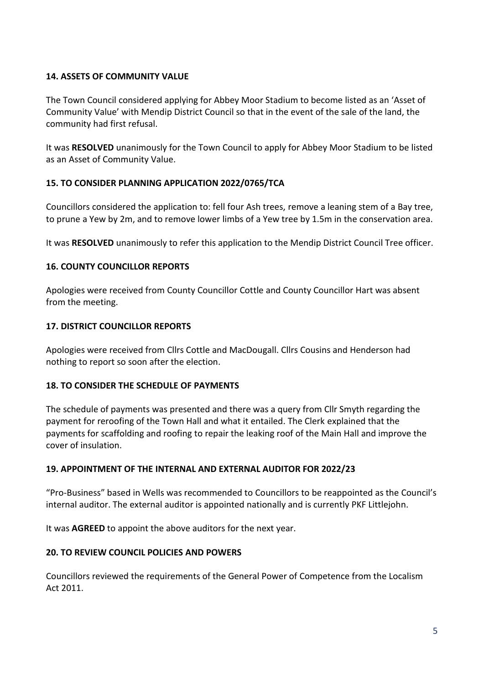## **14. ASSETS OF COMMUNITY VALUE**

The Town Council considered applying for Abbey Moor Stadium to become listed as an 'Asset of Community Value' with Mendip District Council so that in the event of the sale of the land, the community had first refusal.

It was **RESOLVED** unanimously for the Town Council to apply for Abbey Moor Stadium to be listed as an Asset of Community Value.

# **15. TO CONSIDER PLANNING APPLICATION 2022/0765/TCA**

Councillors considered the application to: fell four Ash trees, remove a leaning stem of a Bay tree, to prune a Yew by 2m, and to remove lower limbs of a Yew tree by 1.5m in the conservation area.

It was **RESOLVED** unanimously to refer this application to the Mendip District Council Tree officer.

# **16. COUNTY COUNCILLOR REPORTS**

Apologies were received from County Councillor Cottle and County Councillor Hart was absent from the meeting.

## **17. DISTRICT COUNCILLOR REPORTS**

Apologies were received from Cllrs Cottle and MacDougall. Cllrs Cousins and Henderson had nothing to report so soon after the election.

## **18. TO CONSIDER THE SCHEDULE OF PAYMENTS**

The schedule of payments was presented and there was a query from Cllr Smyth regarding the payment for reroofing of the Town Hall and what it entailed. The Clerk explained that the payments for scaffolding and roofing to repair the leaking roof of the Main Hall and improve the cover of insulation.

## **19. APPOINTMENT OF THE INTERNAL AND EXTERNAL AUDITOR FOR 2022/23**

"Pro-Business" based in Wells was recommended to Councillors to be reappointed as the Council's internal auditor. The external auditor is appointed nationally and is currently PKF Littlejohn.

It was **AGREED** to appoint the above auditors for the next year.

## **20. TO REVIEW COUNCIL POLICIES AND POWERS**

Councillors reviewed the requirements of the General Power of Competence from the Localism Act 2011.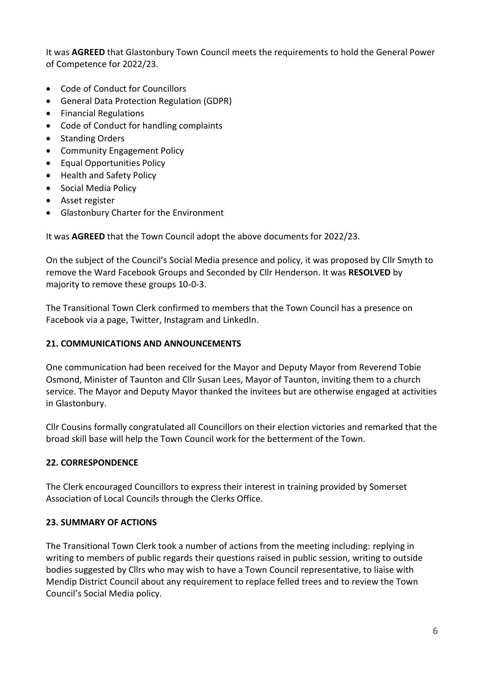It was **AGREED** that Glastonbury Town Council meets the requirements to hold the General Power of Competence for 2022/23.

- Code of Conduct for Councillors
- General Data Protection Regulation (GDPR)
- Financial Regulations
- Code of Conduct for handling complaints
- Standing Orders
- Community Engagement Policy
- Equal Opportunities Policy
- Health and Safety Policy
- Social Media Policy
- Asset register
- Glastonbury Charter for the Environment

It was **AGREED** that the Town Council adopt the above documents for 2022/23.

On the subject of the Council's Social Media presence and policy, it was proposed by Cllr Smyth to remove the Ward Facebook Groups and Seconded by Cllr Henderson. It was **RESOLVED** by majority to remove these groups 10-0-3.

The Transitional Town Clerk confirmed to members that the Town Council has a presence on Facebook via a page, Twitter, Instagram and LinkedIn.

## **21. COMMUNICATIONS AND ANNOUNCEMENTS**

One communication had been received for the Mayor and Deputy Mayor from Reverend Tobie Osmond, Minister of Taunton and Cllr Susan Lees, Mayor of Taunton, inviting them to a church service. The Mayor and Deputy Mayor thanked the invitees but are otherwise engaged at activities in Glastonbury.

Cllr Cousins formally congratulated all Councillors on their election victories and remarked that the broad skill base will help the Town Council work for the betterment of the Town.

## **22. CORRESPONDENCE**

The Clerk encouraged Councillors to express their interest in training provided by Somerset Association of Local Councils through the Clerks Office.

## **23. SUMMARY OF ACTIONS**

The Transitional Town Clerk took a number of actions from the meeting including: replying in writing to members of public regards their questions raised in public session, writing to outside bodies suggested by Cllrs who may wish to have a Town Council representative, to liaise with Mendip District Council about any requirement to replace felled trees and to review the Town Council's Social Media policy.